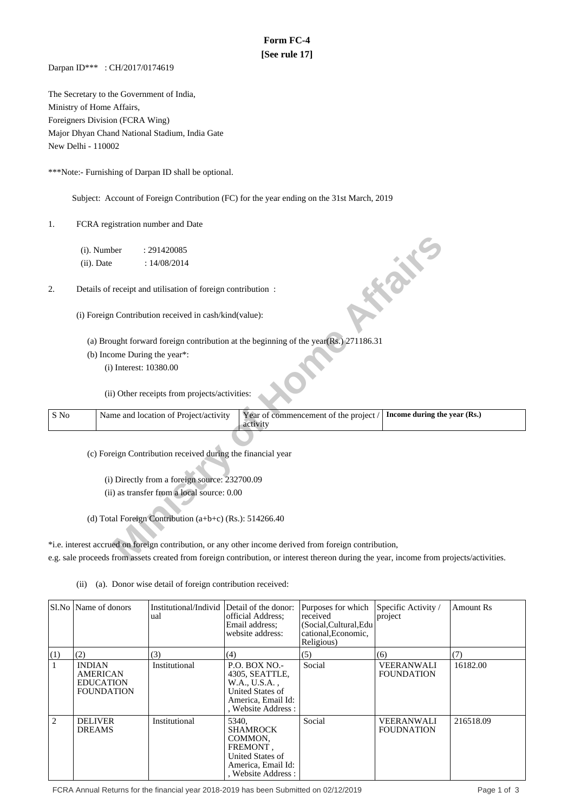# **Form FC-4 [See rule 17]**

Darpan ID\*\*\* : CH/2017/0174619

The Secretary to the Government of India, Ministry of Home Affairs, Foreigners Division (FCRA Wing) Major Dhyan Chand National Stadium, India Gate New Delhi - 110002

\*\*\*Note:- Furnishing of Darpan ID shall be optional.

Subject: Account of Foreign Contribution (FC) for the year ending on the 31st March, 2019

1. FCRA registration number and Date

|      | (i). Number   |                        | : 291420085                                                 |                                                                                                                                         |                              |
|------|---------------|------------------------|-------------------------------------------------------------|-----------------------------------------------------------------------------------------------------------------------------------------|------------------------------|
|      | $(ii)$ . Date |                        | : 14/08/2014                                                |                                                                                                                                         |                              |
|      |               |                        |                                                             |                                                                                                                                         | <b>FOR THE</b>               |
| 2.   |               |                        | Details of receipt and utilisation of foreign contribution: |                                                                                                                                         |                              |
|      |               |                        |                                                             |                                                                                                                                         |                              |
|      |               |                        | (i) Foreign Contribution received in cash/kind(value):      |                                                                                                                                         |                              |
|      |               |                        |                                                             |                                                                                                                                         |                              |
|      |               |                        |                                                             | (a) Brought forward foreign contribution at the beginning of the year(Rs.) 271186.31                                                    |                              |
|      |               |                        | (b) Income During the year*:                                |                                                                                                                                         |                              |
|      |               | (i) Interest: 10380.00 |                                                             |                                                                                                                                         |                              |
|      |               |                        |                                                             |                                                                                                                                         |                              |
|      |               |                        | (ii) Other receipts from projects/activities:               |                                                                                                                                         |                              |
|      |               |                        |                                                             |                                                                                                                                         |                              |
| S No |               |                        | Name and location of Project/activity                       | Year of commencement of the project /<br>activity                                                                                       | Income during the year (Rs.) |
|      |               |                        |                                                             |                                                                                                                                         |                              |
|      |               |                        | (c) Foreign Contribution received during the financial year |                                                                                                                                         |                              |
|      |               |                        |                                                             |                                                                                                                                         |                              |
|      |               |                        | (i) Directly from a foreign source: 232700.09               |                                                                                                                                         |                              |
|      |               |                        | (ii) as transfer from a local source: 0.00                  |                                                                                                                                         |                              |
|      |               |                        |                                                             |                                                                                                                                         |                              |
|      |               |                        | (d) Total Foreign Contribution $(a+b+c)$ (Rs.): 514266.40   |                                                                                                                                         |                              |
|      |               |                        |                                                             |                                                                                                                                         |                              |
|      |               |                        |                                                             | *i.e. interest accrued on foreign contribution, or any other income derived from foreign contribution,                                  |                              |
|      |               |                        |                                                             |                                                                                                                                         |                              |
|      |               |                        |                                                             | e.g. sale proceeds from assets created from foreign contribution, or interest thereon during the year, income from projects/activities. |                              |

\*i.e. interest accrued on foreign contribution, or any other income derived from foreign contribution, e.g. sale proceeds from assets created from foreign contribution, or interest thereon during the year, income from projects/activities.

(ii) (a). Donor wise detail of foreign contribution received:

|     | Sl.No   Name of donors                                                    | Institutional/Individ<br>ual | Detail of the donor:<br>official Address:<br>Email address:<br>website address:                                          | Purposes for which<br>received<br>(Social, Cultural, Edu<br>cational, Economic,<br>Religious) | Specific Activity /<br>project         | <b>Amount Rs</b> |
|-----|---------------------------------------------------------------------------|------------------------------|--------------------------------------------------------------------------------------------------------------------------|-----------------------------------------------------------------------------------------------|----------------------------------------|------------------|
| (1) | (2)                                                                       | (3)                          | (4)                                                                                                                      | (5)                                                                                           | (6)                                    | (7)              |
|     | <b>INDIAN</b><br><b>AMERICAN</b><br><b>EDUCATION</b><br><b>FOUNDATION</b> | Institutional                | <b>P.O. BOX NO.-</b><br>4305, SEATTLE,<br>W.A., U.S.A.,<br>United States of<br>America, Email Id:<br>, Website Address : | Social                                                                                        | <b>VEERANWALI</b><br><b>FOUNDATION</b> | 16182.00         |
| 2   | <b>DELIVER</b><br><b>DREAMS</b>                                           | Institutional                | 5340.<br><b>SHAMROCK</b><br>COMMON,<br>FREMONT,<br>United States of<br>America, Email Id:<br>, Website Address:          | Social                                                                                        | <b>VEERANWALI</b><br><b>FOUDNATION</b> | 216518.09        |

FCRA Annual Returns for the financial year 2018-2019 has been Submitted on 02/12/2019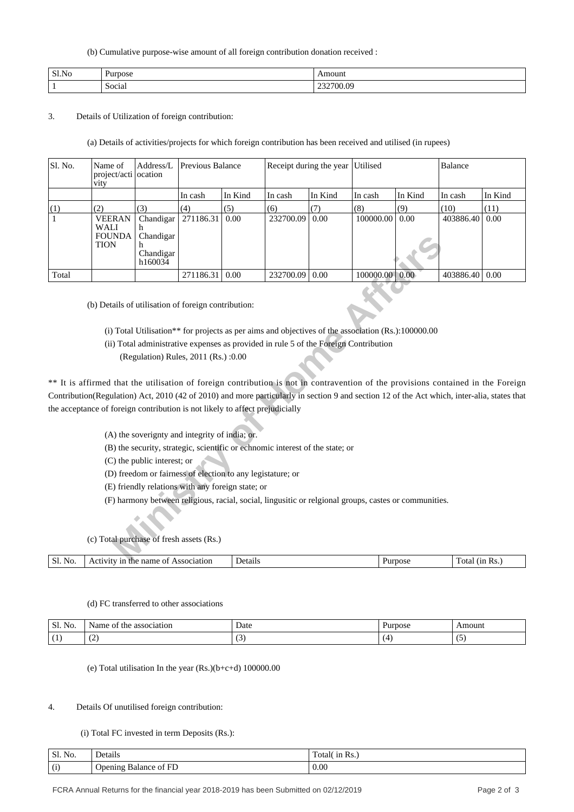### (b) Cumulative purpose-wise amount of all foreign contribution donation received :

| Sl.No | <b>TPOSE</b>     |                         |
|-------|------------------|-------------------------|
|       | $\sim$<br>Social | ∩c<br>1 I V<br>,,,,,,,, |

# 3. Details of Utilization of foreign contribution:

(a) Details of activities/projects for which foreign contribution has been received and utilised (in rupees)

| Sl. No.    | Name of<br>project/acti<br>vity                                                                                                                                                                                                                                                                                                                                                                                         | $\mathbf{Address}/\mathbf{L}$<br>location                | Previous Balance                                                                                                                                                                                          |         |                                                                                                                                                                                                                                                                             | Receipt during the year | Utilised  |                                   | Balance       |         |
|------------|-------------------------------------------------------------------------------------------------------------------------------------------------------------------------------------------------------------------------------------------------------------------------------------------------------------------------------------------------------------------------------------------------------------------------|----------------------------------------------------------|-----------------------------------------------------------------------------------------------------------------------------------------------------------------------------------------------------------|---------|-----------------------------------------------------------------------------------------------------------------------------------------------------------------------------------------------------------------------------------------------------------------------------|-------------------------|-----------|-----------------------------------|---------------|---------|
|            |                                                                                                                                                                                                                                                                                                                                                                                                                         |                                                          | In cash                                                                                                                                                                                                   | In Kind | In cash                                                                                                                                                                                                                                                                     | In Kind                 | In cash   | In Kind                           | In cash       | In Kind |
| (1)        | (2)                                                                                                                                                                                                                                                                                                                                                                                                                     | (3)                                                      | (4)                                                                                                                                                                                                       | (5)     | (6)                                                                                                                                                                                                                                                                         | (7)                     | (8)       | (9)                               | (10)          | (11)    |
| 1          | <b>VEERAN</b><br><b>WALI</b><br><b>FOUNDA</b><br><b>TION</b>                                                                                                                                                                                                                                                                                                                                                            | Chandigar<br>h<br>Chandigar<br>h<br>Chandigar<br>h160034 | 271186.31                                                                                                                                                                                                 | 0.00    | 232700.09                                                                                                                                                                                                                                                                   | 0.00                    | 100000.00 | 0.00                              | 403886.40     | 0.00    |
| Total      |                                                                                                                                                                                                                                                                                                                                                                                                                         |                                                          | 271186.31                                                                                                                                                                                                 | 0.00    | 232700.09                                                                                                                                                                                                                                                                   | 0.00                    | 100000.00 | 0.00                              | 403886.40     | 0.00    |
|            | (b) Details of utilisation of foreign contribution:<br>** It is affirmed that the utilisation of foreign contribution is not in contravention of the provisions contained in the Foreign<br>Contribution(Regulation) Act, 2010 (42 of 2010) and more particularly in section 9 and section 12 of the Act which, inter-alia, states that<br>the acceptance of foreign contribution is not likely to affect prejudicially | (C) the public interest; or                              | (Regulation) Rules, 2011 (Rs.) :0.00<br>(A) the soverignty and integrity of india; or.<br>(D) freedom or fairness of election to any legistature; or<br>(E) friendly relations with any foreign state; or |         | (i) Total Utilisation** for projects as per aims and objectives of the association (Rs.):100000.00<br>(ii) Total administrative expenses as provided in rule 5 of the Foreign Contribution<br>(B) the security, strategic, scientific or echnomic interest of the state; or |                         |           |                                   |               |         |
|            | (c) Total purchase of fresh assets (Rs.)                                                                                                                                                                                                                                                                                                                                                                                |                                                          |                                                                                                                                                                                                           |         | (F) harmony between religious, racial, social, lingusitic or relgional groups, castes or communities.                                                                                                                                                                       |                         |           |                                   |               |         |
| $S1$ $N_0$ | Activity in the name of Accociation                                                                                                                                                                                                                                                                                                                                                                                     |                                                          |                                                                                                                                                                                                           | Detaile |                                                                                                                                                                                                                                                                             |                         |           | $D_{\text{H}_{\text{T}}\text{m}}$ | Total (in Re) |         |

- (ii) Total administrative expenses as provided in rule 5 of the Foreign Contribution
	- (Regulation) Rules, 2011 (Rs.) :0.00

|  | (c) Total purchase of fresh assets (Rs.) |  |
|--|------------------------------------------|--|
|--|------------------------------------------|--|

| Sl.<br>No. | name of<br>Association<br>-Act<br>71 I V<br>me | Details | ግበርል<br>,,,,, | (nn)<br>KS.<br>Total |
|------------|------------------------------------------------|---------|---------------|----------------------|
|            |                                                |         |               |                      |

# (d) FC transferred to other associations

| NO.<br>JI. | the<br>association<br>ΟĪ<br>١a | Date | ')OSC | noun |
|------------|--------------------------------|------|-------|------|
|            | $\overline{\phantom{0}}$       | . .  |       |      |

(e) Total utilisation In the year (Rs.)(b+c+d) 100000.00

# 4. Details Of unutilised foreign contribution:

# (i) Total FC invested in term Deposits (Rs.):

| Sl. No. | Details                                                                        | $\sim$<br>10 Rs.<br>rotal( |
|---------|--------------------------------------------------------------------------------|----------------------------|
| (i)     | $\sim$<br>$\omega$ pening<br>FΙ<br>- Balance<br>ОI<br>$\overline{\phantom{a}}$ | 0.00                       |